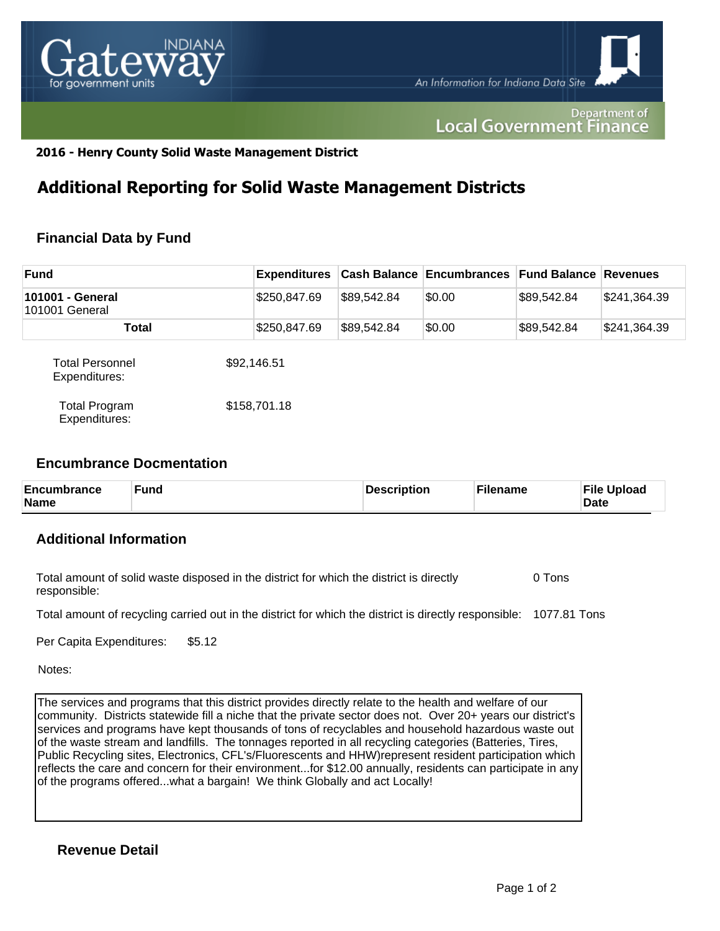

#### Department of **Local Government Finance**

#### **2016 - Henry County Solid Waste Management District**

## **Additional Reporting for Solid Waste Management Districts**

## **Financial Data by Fund**

| <b>Fund</b>                           | <b>Expenditures</b> |             | <b>Cash Balance Encumbrances</b> | <b>Fund Balance Revenues</b> |              |
|---------------------------------------|---------------------|-------------|----------------------------------|------------------------------|--------------|
| 101001 - General<br>101001 General    | \$250,847.69        | \$89,542.84 | \$0.00                           | \$89,542.84                  | \$241,364.39 |
| Total                                 | \$250,847.69        | \$89,542.84 | \$0.00                           | \$89,542.84                  | \$241,364.39 |
| Total Personnel<br>Expenditures:      | \$92,146.51         |             |                                  |                              |              |
| <b>Total Program</b><br>Expenditures: | \$158,701.18        |             |                                  |                              |              |

#### **Encumbrance Docmentation**

| <b>Encumbrance</b><br><b>Name</b> | <b>Fund</b> | Description | ั <sup>с</sup> ilename | <b>File Upload</b><br><b>Date</b> |
|-----------------------------------|-------------|-------------|------------------------|-----------------------------------|
|-----------------------------------|-------------|-------------|------------------------|-----------------------------------|

### **Additional Information**

Total amount of solid waste disposed in the district for which the district is directly responsible: 0 Tons

Total amount of recycling carried out in the district for which the district is directly responsible: 1077.81 Tons

Per Capita Expenditures: \$5.12

Notes:

The services and programs that this district provides directly relate to the health and welfare of our community. Districts statewide fill a niche that the private sector does not. Over 20+ years our district's services and programs have kept thousands of tons of recyclables and household hazardous waste out of the waste stream and landfills. The tonnages reported in all recycling categories (Batteries, Tires, Public Recycling sites, Electronics, CFL's/Fluorescents and HHW)represent resident participation which reflects the care and concern for their environment...for \$12.00 annually, residents can participate in any of the programs offered...what a bargain! We think Globally and act Locally!